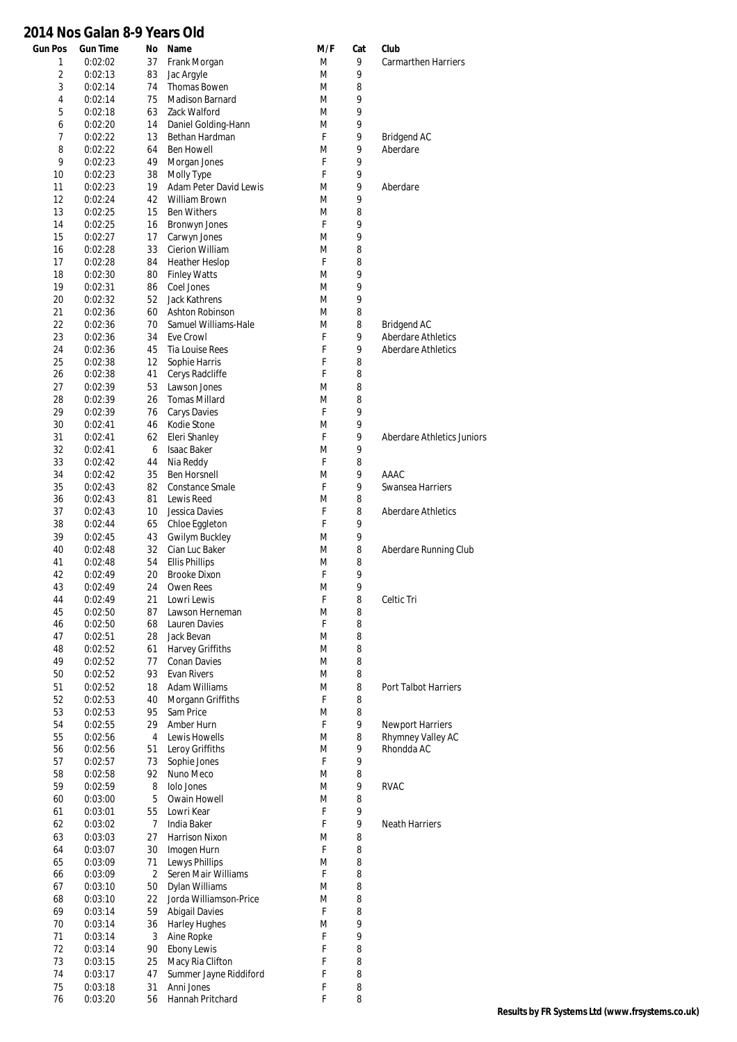## **2014 Nos Galan 8-9 Years Old**

| <b>Gun Pos</b> | <b>Gun Time</b>    | No             | Name                            | M/F    | Cat    | Club                       |
|----------------|--------------------|----------------|---------------------------------|--------|--------|----------------------------|
| 1              | 0:02:02            | 37             | Frank Morgan                    | M      | 9      | Carmarthen Harriers        |
| $\overline{2}$ | 0:02:13            | 83             | Jac Argyle                      | M      | 9      |                            |
| 3              | 0:02:14            | 74             | Thomas Bowen                    | M      | 8      |                            |
| 4              | 0:02:14            | 75             | <b>Madison Barnard</b>          | M      | 9      |                            |
| 5              | 0:02:18            | 63             | Zack Walford                    | M      | 9      |                            |
| 6              | 0:02:20            | 14             | Daniel Golding-Hann             | M      | 9      |                            |
| 7              | 0:02:22            | 13             | Bethan Hardman                  | F      | 9      | <b>Bridgend AC</b>         |
| 8              | 0:02:22            | 64             | <b>Ben Howell</b>               | M      | 9      | Aberdare                   |
| 9              | 0:02:23            | 49             | Morgan Jones                    | F      | 9      |                            |
| 10             | 0:02:23            | 38             | Molly Type                      | F      | 9      |                            |
| 11             | 0:02:23            | 19             | Adam Peter David Lewis          | M      | 9      | Aberdare                   |
| 12             | 0:02:24            | 42             | William Brown                   | M      | 9      |                            |
| 13             | 0:02:25            | 15             | <b>Ben Withers</b>              | M<br>F | 8<br>9 |                            |
| 14             | 0:02:25            | 16             | Bronwyn Jones                   |        | 9      |                            |
| 15<br>16       | 0:02:27<br>0:02:28 | 17<br>33       | Carwyn Jones<br>Cierion William | M<br>M | 8      |                            |
| 17             | 0:02:28            | 84             | <b>Heather Heslop</b>           | F      | 8      |                            |
| 18             | 0:02:30            | 80             | <b>Finley Watts</b>             | M      | 9      |                            |
| 19             | 0:02:31            | 86             | Coel Jones                      | M      | 9      |                            |
| 20             | 0:02:32            | 52             | <b>Jack Kathrens</b>            | M      | 9      |                            |
| 21             | 0:02:36            | 60             | Ashton Robinson                 | M      | 8      |                            |
| 22             | 0:02:36            | 70             | Samuel Williams-Hale            | M      | 8      | <b>Bridgend AC</b>         |
| 23             | 0:02:36            | 34             | Eve Crowl                       | F      | 9      | <b>Aberdare Athletics</b>  |
| 24             | 0:02:36            | 45             | Tia Louise Rees                 | F      | 9      | <b>Aberdare Athletics</b>  |
| 25             | 0:02:38            | 12             | Sophie Harris                   | F      | 8      |                            |
| 26             | 0:02:38            | 41             | Cerys Radcliffe                 | F      | 8      |                            |
| 27             | 0:02:39            | 53             | Lawson Jones                    | M      | 8      |                            |
| 28             | 0:02:39            | 26             | <b>Tomas Millard</b>            | M      | 8      |                            |
| 29             | 0:02:39            | 76             | <b>Carys Davies</b>             | F      | 9      |                            |
| 30             | 0:02:41            | 46             | Kodie Stone                     | M      | 9      |                            |
| 31             | 0:02:41            | 62             | Eleri Shanley                   | F      | 9      | Aberdare Athletics Juniors |
| 32             | 0:02:41            | 6              | <b>Isaac Baker</b>              | M      | 9      |                            |
| 33             | 0:02:42            | 44             | Nia Reddy                       | F      | 8      |                            |
| 34             | 0:02:42            | 35             | <b>Ben Horsnell</b>             | M      | 9      | AAAC                       |
| 35             | 0:02:43            | 82             | Constance Smale                 | F      | 9      | Swansea Harriers           |
| 36             | 0:02:43            | 81             | Lewis Reed                      | M      | 8      |                            |
| 37             | 0:02:43            | 10             | Jessica Davies                  | F      | 8      | <b>Aberdare Athletics</b>  |
| 38             | 0:02:44            | 65             | Chloe Eggleton                  | F      | 9      |                            |
| 39             | 0:02:45            | 43             | Gwilym Buckley                  | M      | 9      |                            |
| 40             | 0:02:48            | 32             | Cian Luc Baker                  | M      | 8      | Aberdare Running Club      |
| 41             | 0:02:48            | 54             | <b>Ellis Phillips</b>           | M      | 8      |                            |
| 42             | 0:02:49            | 20             | Brooke Dixon                    | F      | 9      |                            |
| 43             | 0:02:49            | 24             | Owen Rees                       | M      | 9      |                            |
| 44             | 0:02:49            | 21             | Lowri Lewis                     | F      | 8      | Celtic Tri                 |
| 45             | 0:02:50            | 87             | Lawson Herneman                 | M      | 8      |                            |
| 46             | 0:02:50            | 68             | Lauren Davies                   | F      | 8      |                            |
| 47             | 0:02:51            | 28             | Jack Bevan                      | M      | 8      |                            |
| 48             | 0:02:52            | 61             | Harvey Griffiths                | M      | 8      |                            |
| 49             | 0:02:52            | 77             | Conan Davies                    | M      | 8      |                            |
| 50             | 0:02:52            | 93             | <b>Evan Rivers</b>              | M      | 8      |                            |
| 51             | 0:02:52            | 18             | Adam Williams                   | M      | 8      | Port Talbot Harriers       |
| 52             | 0:02:53            | 40             | Morgann Griffiths               | F      | 8      |                            |
| 53             | 0:02:53            | 95             | Sam Price                       | M      | 8      |                            |
| 54             | 0:02:55            | 29             | Amber Hurn                      | F      | 9      | Newport Harriers           |
| 55             | 0:02:56            | 4              | Lewis Howells                   | M      | 8      | Rhymney Valley AC          |
| 56             | 0:02:56            | 51             | Leroy Griffiths                 | M      | 9      | Rhondda AC                 |
| 57             | 0:02:57            | 73             | Sophie Jones                    | F      | 9      |                            |
| 58             | 0:02:58            | 92             | Nuno Meco                       | M      | 8      |                            |
| 59             | 0:02:59            | 8              | Iolo Jones                      | M      | 9      | <b>RVAC</b>                |
| 60             | 0:03:00            | 5<br>55        | Owain Howell                    | M<br>F | 8<br>9 |                            |
| 61<br>62       | 0:03:01            | 7              | Lowri Kear<br>India Baker       | F      | 9      | Neath Harriers             |
| 63             | 0:03:02            | 27             | Harrison Nixon                  | M      | 8      |                            |
| 64             | 0:03:03<br>0:03:07 | 30             | Imogen Hurn                     | F      | 8      |                            |
| 65             | 0:03:09            | 71             | Lewys Phillips                  | M      | 8      |                            |
| 66             | 0:03:09            | $\overline{2}$ | Seren Mair Williams             | F      | 8      |                            |
| 67             | 0:03:10            | 50             | Dylan Williams                  | M      | 8      |                            |
| 68             | 0:03:10            | 22             | Jorda Williamson-Price          | M      | 8      |                            |
| 69             | 0:03:14            | 59             | <b>Abigail Davies</b>           | F      | 8      |                            |
| 70             | 0:03:14            | 36             | <b>Harley Hughes</b>            | M      | 9      |                            |
| 71             | 0:03:14            | 3              | Aine Ropke                      | F      | 9      |                            |
| 72             | 0:03:14            | 90             | Ebony Lewis                     | F      | 8      |                            |
| 73             | 0:03:15            | 25             | Macy Ria Clifton                | F      | 8      |                            |
| 74             | 0:03:17            | 47             | Summer Jayne Riddiford          | F      | 8      |                            |
| 75             | 0:03:18            | 31             | Anni Jones                      | F      | 8      |                            |
| 76             | 0:03:20            | 56             | Hannah Pritchard                | F      | 8      |                            |
|                |                    |                |                                 |        |        |                            |